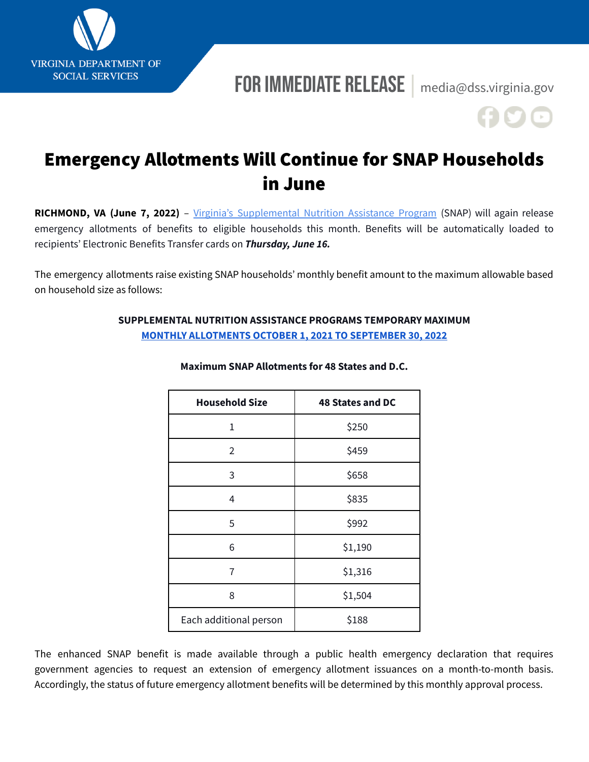

# For Immediate Release **|** [media@dss.virginia.gov](mailto:media@dss.virginia.gov)

# Emergency Allotments Will Continue for SNAP Households in June

**RICHMOND, VA (June 7, 2022)** – Virginia's [Supplemental](https://www.dss.virginia.gov/benefit/snap.cgi) Nutrition Assistance Program (SNAP) will again release emergency allotments of benefits to eligible households this month. Benefits will be automatically loaded to recipients' Electronic Benefits Transfer cards on *Thursday, June 16.*

The emergency allotments raise existing SNAP households' monthly benefit amount to the maximum allowable based on household size as follows:

## **SUPPLEMENTAL NUTRITION ASSISTANCE PROGRAMS TEMPORARY MAXIMUM MONTHLY [ALLOTMENTS](https://fns-prod.azureedge.net/sites/default/files/resource-files/2022-SNAP-COLA-%20Maximum-Allotments.pdf#page=2) OCTOBER 1, 2021 TO SEPTEMBER 30, 2022**

| <b>Household Size</b>  | <b>48 States and DC</b> |
|------------------------|-------------------------|
| 1                      | \$250                   |
| 2                      | \$459                   |
| 3                      | \$658                   |
| 4                      | \$835                   |
| 5                      | \$992                   |
| 6                      | \$1,190                 |
| 7                      | \$1,316                 |
| 8                      | \$1,504                 |
| Each additional person | \$188                   |

#### **Maximum SNAP Allotments for 48 States and D.C.**

The enhanced SNAP benefit is made available through a public health emergency declaration that requires government agencies to request an extension of emergency allotment issuances on a month-to-month basis. Accordingly, the status of future emergency allotment benefits will be determined by this monthly approval process.